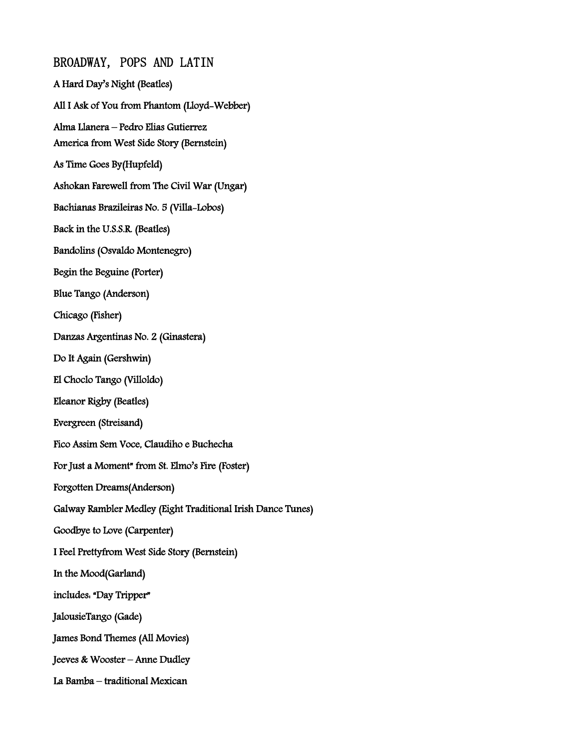BROADWAY, POPS AND LATIN A Hard Day's Night (Beatles) All I Ask of You from Phantom (Lloyd-Webber) Alma Llanera – Pedro Elias Gutierrez America from West Side Story (Bernstein) As Time Goes By(Hupfeld) Ashokan Farewell from The Civil War (Ungar) Bachianas Brazileiras No. 5 (Villa-Lobos) Back in the U.S.S.R. (Beatles) Bandolins (Osvaldo Montenegro) Begin the Beguine (Porter) Blue Tango (Anderson) Chicago (Fisher) Danzas Argentinas No. 2 (Ginastera) Do It Again (Gershwin) El Choclo Tango (Villoldo) Eleanor Rigby (Beatles) Evergreen (Streisand) Fico Assim Sem Voce, Claudiho e Buchecha For Just a Moment" from St. Elmo's Fire (Foster) Forgotten Dreams(Anderson) Galway Rambler Medley (Eight Traditional Irish Dance Tunes) Goodbye to Love (Carpenter) I Feel Prettyfrom West Side Story (Bernstein) In the Mood(Garland) includes: "Day Tripper" JalousieTango (Gade) James Bond Themes (All Movies) Jeeves & Wooster – Anne Dudley La Bamba – traditional Mexican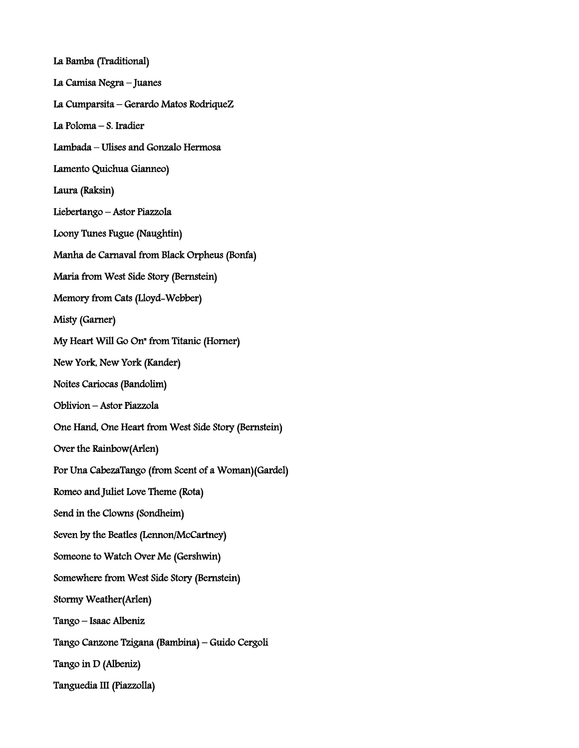La Bamba (Traditional) La Camisa Negra – Juanes La Cumparsita – Gerardo Matos RodriqueZ La Poloma – S. Iradier Lambada – Ulises and Gonzalo Hermosa Lamento Quichua Gianneo) Laura (Raksin) Liebertango – Astor Piazzola Loony Tunes Fugue (Naughtin) Manha de Carnaval from Black Orpheus (Bonfa) Maria from West Side Story (Bernstein) Memory from Cats (Lloyd-Webber) Misty (Garner) My Heart Will Go On" from Titanic (Horner) New York, New York (Kander) Noites Cariocas (Bandolim) Oblivion – Astor Piazzola One Hand, One Heart from West Side Story (Bernstein) Over the Rainbow(Arlen) Por Una CabezaTango (from Scent of a Woman)(Gardel) Romeo and Juliet Love Theme (Rota) Send in the Clowns (Sondheim) Seven by the Beatles (Lennon/McCartney) Someone to Watch Over Me (Gershwin) Somewhere from West Side Story (Bernstein) Stormy Weather(Arlen) Tango – Isaac Albeniz Tango Canzone Tzigana (Bambina) – Guido Cergoli Tango in D (Albeniz) Tanguedia III (Piazzolla)